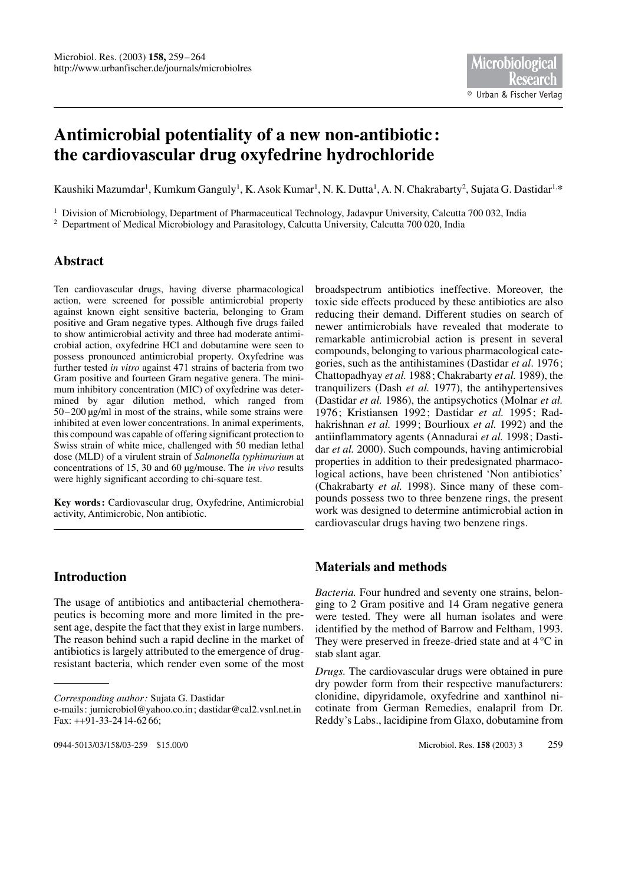# **Antimicrobial potentiality of a new non-antibiotic: the cardiovascular drug oxyfedrine hydrochloride**

Kaushiki Mazumdar<sup>1</sup>, Kumkum Ganguly<sup>1</sup>, K. Asok Kumar<sup>1</sup>, N. K. Dutta<sup>1</sup>, A. N. Chakrabarty<sup>2</sup>, Sujata G. Dastidar<sup>1,\*</sup>

<sup>1</sup> Division of Microbiology, Department of Pharmaceutical Technology, Jadavpur University, Calcutta 700 032, India <sup>2</sup> Department of Medical Microbiology and Parasitology, Calcutta University, Calcutta 700 020, India

# **Abstract**

Ten cardiovascular drugs, having diverse pharmacological action, were screened for possible antimicrobial property against known eight sensitive bacteria, belonging to Gram positive and Gram negative types. Although five drugs failed to show antimicrobial activity and three had moderate antimicrobial action, oxyfedrine HCl and dobutamine were seen to possess pronounced antimicrobial property. Oxyfedrine was further tested *in vitro* against 471 strains of bacteria from two Gram positive and fourteen Gram negative genera. The minimum inhibitory concentration (MIC) of oxyfedrine was determined by agar dilution method, which ranged from 50–200 µg/ml in most of the strains, while some strains were inhibited at even lower concentrations. In animal experiments, this compound was capable of offering significant protection to Swiss strain of white mice, challenged with 50 median lethal dose (MLD) of a virulent strain of *Salmonella typhimurium* at concentrations of 15, 30 and 60 µg/mouse. The *in vivo* results were highly significant according to chi-square test.

**Key words:** Cardiovascular drug, Oxyfedrine, Antimicrobial activity, Antimicrobic, Non antibiotic.

# **Introduction**

The usage of antibiotics and antibacterial chemotherapeutics is becoming more and more limited in the present age, despite the fact that they exist in large numbers. The reason behind such a rapid decline in the market of antibiotics is largely attributed to the emergence of drugresistant bacteria, which render even some of the most

broadspectrum antibiotics ineffective. Moreover, the toxic side effects produced by these antibiotics are also reducing their demand. Different studies on search of newer antimicrobials have revealed that moderate to remarkable antimicrobial action is present in several compounds, belonging to various pharmacological categories, such as the antihistamines (Dastidar *et al*. 1976; Chattopadhyay *et al.* 1988; Chakrabarty *et al.* 1989), the tranquilizers (Dash *et al.* 1977), the antihypertensives (Dastidar *et al.* 1986), the antipsychotics (Molnar *et al.* 1976; Kristiansen 1992; Dastidar *et al.* 1995; Radhakrishnan *et al.* 1999; Bourlioux *et al.* 1992) and the antiinflammatory agents (Annadurai *et al.* 1998; Dastidar *et al.* 2000). Such compounds, having antimicrobial properties in addition to their predesignated pharmacological actions, have been christened 'Non antibiotics' (Chakrabarty *et al.* 1998). Since many of these compounds possess two to three benzene rings, the present work was designed to determine antimicrobial action in cardiovascular drugs having two benzene rings.

## **Materials and methods**

*Bacteria.* Four hundred and seventy one strains, belonging to 2 Gram positive and 14 Gram negative genera were tested. They were all human isolates and were identified by the method of Barrow and Feltham, 1993. They were preserved in freeze-dried state and at 4°C in stab slant agar.

*Drugs.* The cardiovascular drugs were obtained in pure dry powder form from their respective manufacturers: clonidine, dipyridamole, oxyfedrine and xanthinol nicotinate from German Remedies, enalapril from Dr. Reddy's Labs., lacidipine from Glaxo, dobutamine from

*Corresponding author:* Sujata G. Dastidar

e-mails: jumicrobiol@yahoo.co.in; dastidar@cal2.vsnl.net.in Fax: ++91-33-2414-62 66;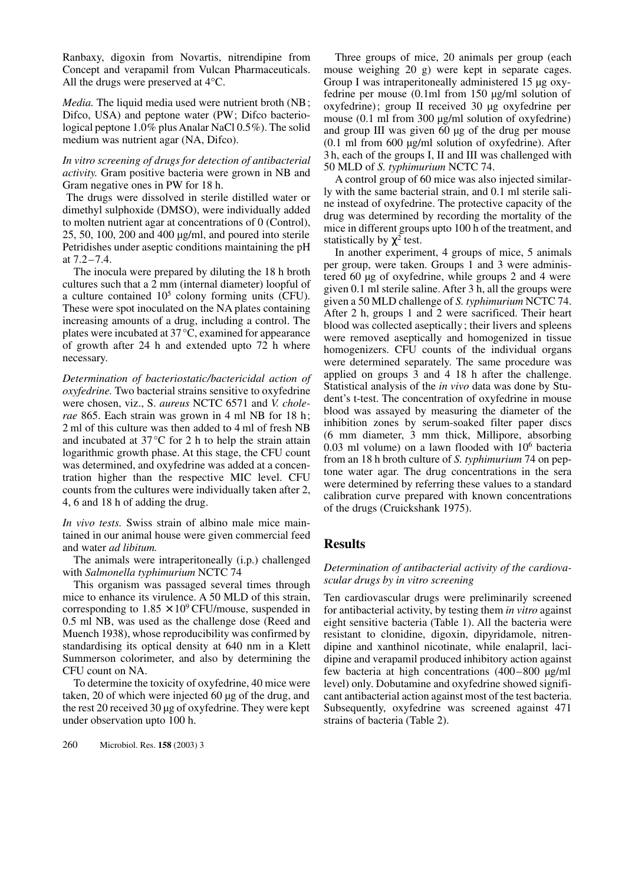Ranbaxy, digoxin from Novartis, nitrendipine from Concept and verapamil from Vulcan Pharmaceuticals. All the drugs were preserved at 4°C.

*Media.* The liquid media used were nutrient broth (NB; Difco, USA) and peptone water (PW; Difco bacteriological peptone 1.0% plus Analar NaCl 0.5%). The solid medium was nutrient agar (NA, Difco).

#### *In vitro screening of drugs for detection of antibacterial activity.* Gram positive bacteria were grown in NB and Gram negative ones in PW for 18 h.

The drugs were dissolved in sterile distilled water or dimethyl sulphoxide (DMSO), were individually added to molten nutrient agar at concentrations of 0 (Control), 25, 50, 100, 200 and 400 µg/ml, and poured into sterile Petridishes under aseptic conditions maintaining the pH at 7.2–7.4.

The inocula were prepared by diluting the 18 h broth cultures such that a 2 mm (internal diameter) loopful of a culture contained  $10^5$  colony forming units (CFU). These were spot inoculated on the NA plates containing increasing amounts of a drug, including a control. The plates were incubated at 37°C, examined for appearance of growth after 24 h and extended upto 72 h where necessary.

*Determination of bacteriostatic/bactericidal action of oxyfedrine.* Two bacterial strains sensitive to oxyfedrine were chosen, viz., S. *aureus* NCTC 6571 and *V. cholerae* 865. Each strain was grown in 4 ml NB for 18 h; 2 ml of this culture was then added to 4 ml of fresh NB and incubated at 37°C for 2 h to help the strain attain logarithmic growth phase. At this stage, the CFU count was determined, and oxyfedrine was added at a concentration higher than the respective MIC level. CFU counts from the cultures were individually taken after 2, 4, 6 and 18 h of adding the drug.

*In vivo tests.* Swiss strain of albino male mice maintained in our animal house were given commercial feed and water *ad libitum.*

The animals were intraperitoneally (i.p.) challenged with *Salmonella typhimurium* NCTC 74

This organism was passaged several times through mice to enhance its virulence. A 50 MLD of this strain, corresponding to  $1.85 \times 10^9$  CFU/mouse, suspended in 0.5 ml NB, was used as the challenge dose (Reed and Muench 1938), whose reproducibility was confirmed by standardising its optical density at 640 nm in a Klett Summerson colorimeter, and also by determining the CFU count on NA.

To determine the toxicity of oxyfedrine, 40 mice were taken, 20 of which were injected 60 µg of the drug, and the rest 20 received 30 µg of oxyfedrine. They were kept under observation upto 100 h.

260 Microbiol. Res. **158** (2003) 3

Three groups of mice, 20 animals per group (each mouse weighing 20 g) were kept in separate cages. Group I was intraperitoneally administered 15 µg oxyfedrine per mouse (0.1ml from 150 µg/ml solution of oxyfedrine); group II received 30 µg oxyfedrine per mouse (0.1 ml from 300 µg/ml solution of oxyfedrine) and group III was given 60 µg of the drug per mouse (0.1 ml from 600 µg/ml solution of oxyfedrine). After 3 h, each of the groups I, II and III was challenged with 50 MLD of *S. typhimurium* NCTC 74.

A control group of 60 mice was also injected similarly with the same bacterial strain, and 0.1 ml sterile saline instead of oxyfedrine. The protective capacity of the drug was determined by recording the mortality of the mice in different groups upto 100 h of the treatment, and statistically by  $\chi^2$  test.

In another experiment, 4 groups of mice, 5 animals per group, were taken. Groups 1 and 3 were administered 60 µg of oxyfedrine, while groups 2 and 4 were given 0.1 ml sterile saline. After 3 h, all the groups were given a 50 MLD challenge of *S. typhimurium* NCTC 74. After 2 h, groups 1 and 2 were sacrificed. Their heart blood was collected aseptically; their livers and spleens were removed aseptically and homogenized in tissue homogenizers. CFU counts of the individual organs were determined separately. The same procedure was applied on groups 3 and 4 18 h after the challenge. Statistical analysis of the *in vivo* data was done by Student's t-test. The concentration of oxyfedrine in mouse blood was assayed by measuring the diameter of the inhibition zones by serum-soaked filter paper discs (6 mm diameter, 3 mm thick, Millipore, absorbing  $0.03$  ml volume) on a lawn flooded with  $10<sup>6</sup>$  bacteria from an 18 h broth culture of *S. typhimurium* 74 on peptone water agar. The drug concentrations in the sera were determined by referring these values to a standard calibration curve prepared with known concentrations of the drugs (Cruickshank 1975).

## **Results**

### *Determination of antibacterial activity of the cardiovascular drugs by in vitro screening*

Ten cardiovascular drugs were preliminarily screened for antibacterial activity, by testing them *in vitro* against eight sensitive bacteria (Table 1). All the bacteria were resistant to clonidine, digoxin, dipyridamole, nitrendipine and xanthinol nicotinate, while enalapril, lacidipine and verapamil produced inhibitory action against few bacteria at high concentrations (400–800 µg/ml level) only. Dobutamine and oxyfedrine showed significant antibacterial action against most of the test bacteria. Subsequently, oxyfedrine was screened against 471 strains of bacteria (Table 2).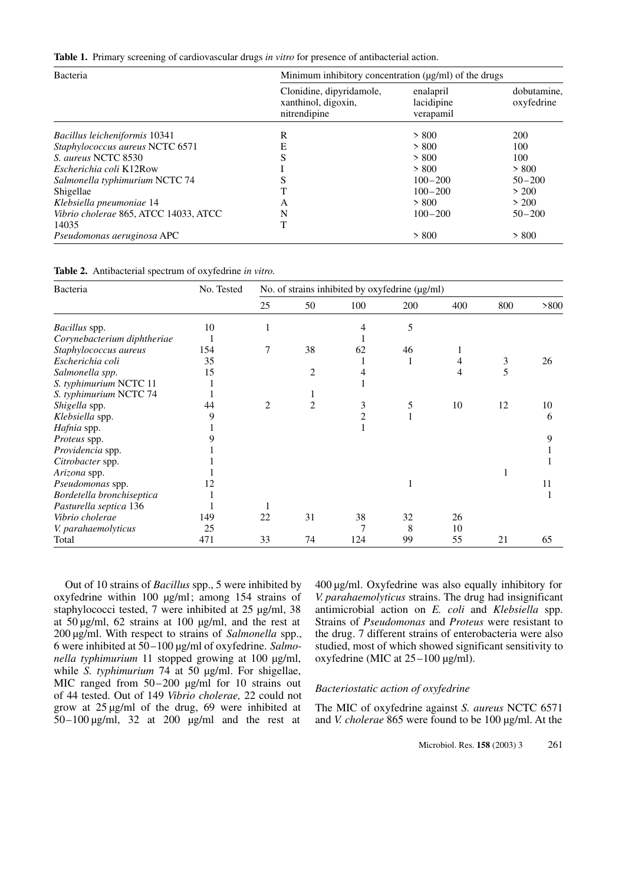|  |  | Table 1. Primary screening of cardiovascular drugs in vitro for presence of antibacterial action. |  |  |  |  |  |  |  |  |  |
|--|--|---------------------------------------------------------------------------------------------------|--|--|--|--|--|--|--|--|--|
|--|--|---------------------------------------------------------------------------------------------------|--|--|--|--|--|--|--|--|--|

| Bacteria                              | Minimum inhibitory concentration $(\mu g/ml)$ of the drugs      |                                      |                           |  |  |  |
|---------------------------------------|-----------------------------------------------------------------|--------------------------------------|---------------------------|--|--|--|
|                                       | Clonidine, dipyridamole,<br>xanthinol, digoxin,<br>nitrendipine | enalapril<br>lacidipine<br>verapamil | dobutamine,<br>oxyfedrine |  |  |  |
| Bacillus leicheniformis 10341         | R                                                               | > 800                                | 200                       |  |  |  |
| Staphylococcus aureus NCTC 6571       | E                                                               | > 800                                | 100                       |  |  |  |
| S. aureus NCTC 8530                   | S                                                               | > 800                                | 100                       |  |  |  |
| Escherichia coli K12Row               |                                                                 | > 800                                | > 800                     |  |  |  |
| Salmonella typhimurium NCTC 74        |                                                                 | $100 - 200$                          | $50 - 200$                |  |  |  |
| Shigellae                             |                                                                 | $100 - 200$                          | > 200                     |  |  |  |
| Klebsiella pneumoniae 14              | A                                                               | > 800                                | > 200                     |  |  |  |
| Vibrio cholerae 865, ATCC 14033, ATCC | N                                                               | $100 - 200$                          | $50 - 200$                |  |  |  |
| 14035                                 |                                                                 |                                      |                           |  |  |  |
| Pseudomonas aeruginosa APC            |                                                                 | > 800                                | > 800                     |  |  |  |

| Table 2. Antibacterial spectrum of oxyfedrine in vitro. |  |  |  |
|---------------------------------------------------------|--|--|--|
|---------------------------------------------------------|--|--|--|

| Bacteria                    | No. Tested | No. of strains inhibited by oxyfedrine (µg/ml) |                |                |     |     |     |      |
|-----------------------------|------------|------------------------------------------------|----------------|----------------|-----|-----|-----|------|
|                             |            | 25                                             | 50             | 100            | 200 | 400 | 800 | >800 |
| <i>Bacillus</i> spp.        | 10         |                                                |                | 4              | 5   |     |     |      |
| Corynebacterium diphtheriae |            |                                                |                |                |     |     |     |      |
| Staphylococcus aureus       | 154        | 7                                              | 38             | 62             | 46  |     |     |      |
| Escherichia coli            | 35         |                                                |                |                |     | 4   | 3   | 26   |
| Salmonella spp.             | 15         |                                                | $\overline{2}$ |                |     | 4   | 5   |      |
| S. typhimurium NCTC 11      |            |                                                |                |                |     |     |     |      |
| S. typhimurium NCTC 74      |            |                                                |                |                |     |     |     |      |
| Shigella spp.               | 44         | $\mathfrak{D}$                                 | $\overline{c}$ | 3              | 5   | 10  | 12  | 10   |
| Klebsiella spp.             | 9          |                                                |                | $\mathfrak{D}$ |     |     |     | 6    |
| Hafnia spp.                 |            |                                                |                |                |     |     |     |      |
| Proteus spp.                |            |                                                |                |                |     |     |     | 9    |
| Providencia spp.            |            |                                                |                |                |     |     |     |      |
| Citrobacter spp.            |            |                                                |                |                |     |     |     |      |
| Arizona spp.                |            |                                                |                |                |     |     |     |      |
| Pseudomonas spp.            | 12         |                                                |                |                |     |     |     | 11   |
| Bordetella bronchiseptica   |            |                                                |                |                |     |     |     |      |
| Pasturella septica 136      |            |                                                |                |                |     |     |     |      |
| Vibrio cholerae             | 149        | 22                                             | 31             | 38             | 32  | 26  |     |      |
| V. parahaemolyticus         | 25         |                                                |                |                | 8   | 10  |     |      |
| Total                       | 471        | 33                                             | 74             | 124            | 99  | 55  | 21  | 65   |

Out of 10 strains of *Bacillus* spp., 5 were inhibited by oxyfedrine within 100 µg/ml; among 154 strains of staphylococci tested, 7 were inhibited at 25 µg/ml, 38 at 50 µg/ml, 62 strains at 100 µg/ml, and the rest at 200 µg/ml. With respect to strains of *Salmonella* spp., 6 were inhibited at 50–100 µg/ml of oxyfedrine. *Salmonella typhimurium* 11 stopped growing at 100 µg/ml, while *S. typhimurium* 74 at 50 µg/ml. For shigellae, MIC ranged from 50–200 µg/ml for 10 strains out of 44 tested. Out of 149 *Vibrio cholerae,* 22 could not grow at 25 µg/ml of the drug, 69 were inhibited at  $50-100 \mu g/ml$ , 32 at 200  $\mu g/ml$  and the rest at

400 µg/ml. Oxyfedrine was also equally inhibitory for *V. parahaemolyticus* strains. The drug had insignificant antimicrobial action on *E. coli* and *Klebsiella* spp. Strains of *Pseudomonas* and *Proteus* were resistant to the drug. 7 different strains of enterobacteria were also studied, most of which showed significant sensitivity to oxyfedrine (MIC at 25–100 µg/ml).

#### *Bacteriostatic action of oxyfedrine*

The MIC of oxyfedrine against *S. aureus* NCTC 6571 and *V. cholerae* 865 were found to be 100 µg/ml. At the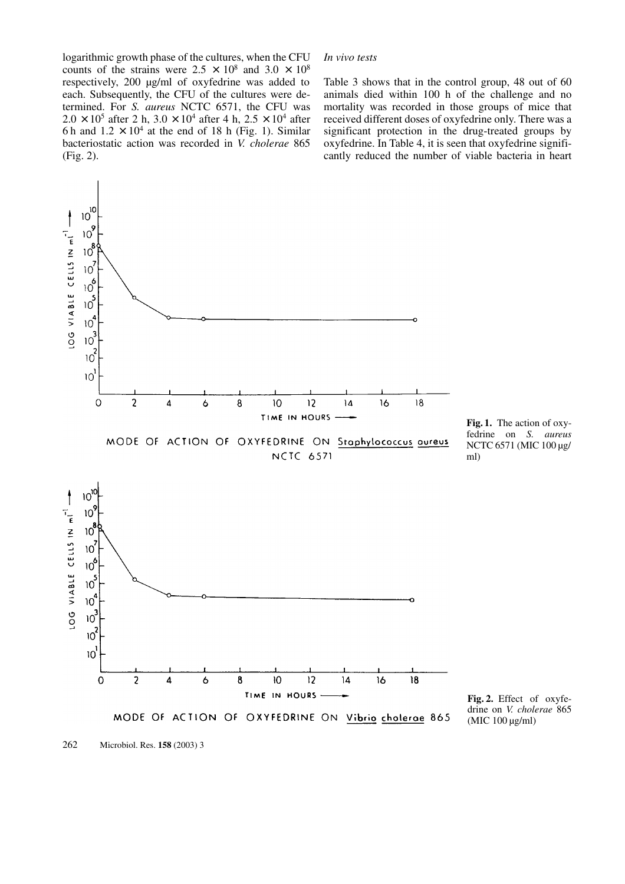logarithmic growth phase of the cultures, when the CFU counts of the strains were  $2.5 \times 10^8$  and  $3.0 \times 10^8$ respectively, 200 µg/ml of oxyfedrine was added to each. Subsequently, the CFU of the cultures were determined. For *S. aureus* NCTC 6571, the CFU was  $2.0 \times 10^5$  after 2 h,  $3.0 \times 10^4$  after 4 h,  $2.5 \times 10^4$  after 6 h and  $1.2 \times 10^4$  at the end of 18 h (Fig. 1). Similar bacteriostatic action was recorded in *V. cholerae* 865 (Fig. 2).

#### *In vivo tests*

Table 3 shows that in the control group, 48 out of 60 animals died within 100 h of the challenge and no mortality was recorded in those groups of mice that received different doses of oxyfedrine only. There was a significant protection in the drug-treated groups by oxyfedrine. In Table 4, it is seen that oxyfedrine significantly reduced the number of viable bacteria in heart



262 Microbiol. Res. **158** (2003) 3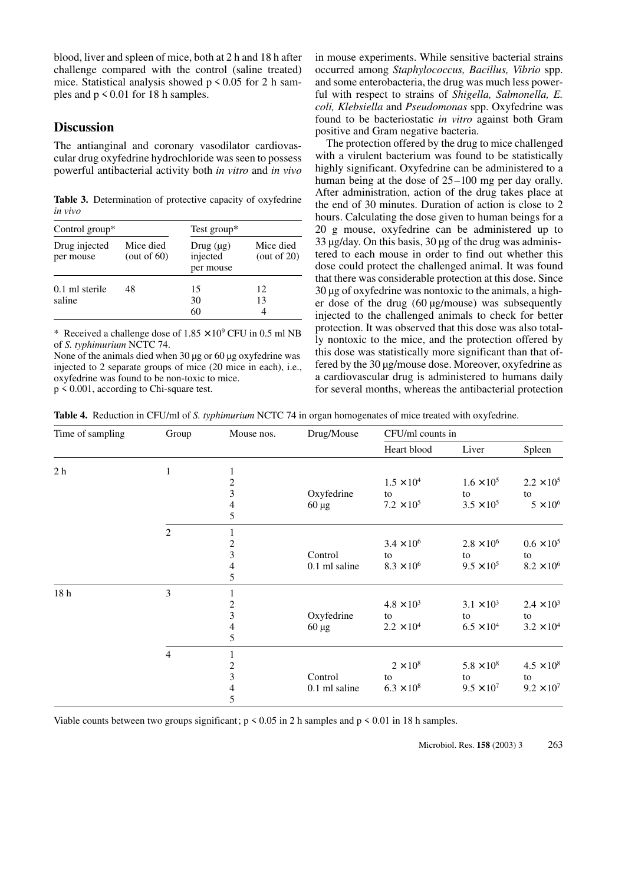blood, liver and spleen of mice, both at 2 h and 18 h after challenge compared with the control (saline treated) mice. Statistical analysis showed  $p \le 0.05$  for 2 h samples and  $p \le 0.01$  for 18 h samples.

### **Discussion**

The antianginal and coronary vasodilator cardiovascular drug oxyfedrine hydrochloride was seen to possess powerful antibacterial activity both *in vitro* and *in vivo*

**Table 3.** Determination of protective capacity of oxyfedrine *in vivo*

| Control group $*$          |                             | Test group*                             |                             |  |  |
|----------------------------|-----------------------------|-----------------------------------------|-----------------------------|--|--|
| Drug injected<br>per mouse | Mice died<br>(out of $60$ ) | Drug $(\mu g)$<br>injected<br>per mouse | Mice died<br>(out of $20$ ) |  |  |
| $0.1$ ml sterile<br>saline | 48                          | 15<br>30<br>60                          | 12<br>13                    |  |  |

\* Received a challenge dose of  $1.85 \times 10^9$  CFU in 0.5 ml NB of *S. typhimurium* NCTC 74.

None of the animals died when 30 µg or 60 µg oxyfedrine was injected to 2 separate groups of mice (20 mice in each), i.e., oxyfedrine was found to be non-toxic to mice.

p < 0.001, according to Chi-square test.

in mouse experiments. While sensitive bacterial strains occurred among *Staphylococcus, Bacillus, Vibrio* spp. and some enterobacteria, the drug was much less powerful with respect to strains of *Shigella, Salmonella, E. coli, Klebsiella* and *Pseudomonas* spp. Oxyfedrine was found to be bacteriostatic *in vitro* against both Gram positive and Gram negative bacteria.

The protection offered by the drug to mice challenged with a virulent bacterium was found to be statistically highly significant. Oxyfedrine can be administered to a human being at the dose of 25–100 mg per day orally. After administration, action of the drug takes place at the end of 30 minutes. Duration of action is close to 2 hours. Calculating the dose given to human beings for a 20 g mouse, oxyfedrine can be administered up to  $33 \mu$ g/day. On this basis,  $30 \mu$ g of the drug was administered to each mouse in order to find out whether this dose could protect the challenged animal. It was found that there was considerable protection at this dose. Since 30 µg of oxyfedrine was nontoxic to the animals, a higher dose of the drug (60 µg/mouse) was subsequently injected to the challenged animals to check for better protection. It was observed that this dose was also totally nontoxic to the mice, and the protection offered by this dose was statistically more significant than that offered by the 30 µg/mouse dose. Moreover, oxyfedrine as a cardiovascular drug is administered to humans daily for several months, whereas the antibacterial protection

**Table 4.** Reduction in CFU/ml of *S. typhimurium* NCTC 74 in organ homogenates of mice treated with oxyfedrine.

| Time of sampling | Group          | Mouse nos.               | Drug/Mouse    | CFU/ml counts in    |                     |                     |  |
|------------------|----------------|--------------------------|---------------|---------------------|---------------------|---------------------|--|
|                  |                |                          |               | Heart blood         | Liver               | Spleen              |  |
| 2 <sub>h</sub>   | 1              |                          |               |                     |                     |                     |  |
|                  |                |                          |               | $1.5 \times 10^{4}$ | $1.6 \times 10^{5}$ | $2.2 \times 10^5$   |  |
|                  |                | $\frac{2}{3}$            | Oxyfedrine    | to                  | to                  | to                  |  |
|                  |                | $\frac{4}{5}$            | $60 \mu g$    | $7.2 \times 10^{5}$ | $3.5 \times 10^{5}$ | $5 \times 10^6$     |  |
|                  |                |                          |               |                     |                     |                     |  |
|                  | 2              |                          |               |                     |                     |                     |  |
|                  |                |                          |               | $3.4 \times 10^{6}$ | $2.8 \times 10^{6}$ | $0.6 \times 10^{5}$ |  |
|                  |                | $\frac{2}{3}$            | Control       | to                  | to                  | to                  |  |
|                  |                | $\overline{\mathcal{L}}$ | 0.1 ml saline | $8.3 \times 10^{6}$ | $9.5 \times 10^{5}$ | $8.2 \times 10^{6}$ |  |
|                  |                | 5                        |               |                     |                     |                     |  |
| 18 <sub>h</sub>  | 3              |                          |               |                     |                     |                     |  |
|                  |                | $\overline{\mathbf{c}}$  |               | $4.8 \times 10^{3}$ | $3.1 \times 10^{3}$ | $2.4 \times 10^{3}$ |  |
|                  |                | $\overline{\mathbf{3}}$  | Oxyfedrine    | to                  | to                  | to                  |  |
|                  |                | $\overline{\mathcal{L}}$ | $60 \mu g$    | $2.2 \times 10^4$   | $6.5 \times 10^{4}$ | $3.2 \times 10^{4}$ |  |
|                  |                | 5                        |               |                     |                     |                     |  |
|                  | $\overline{4}$ |                          |               |                     |                     |                     |  |
|                  |                | $\frac{2}{3}$            |               | $2 \times 10^8$     | $5.8 \times 10^{8}$ | $4.5 \times 10^{8}$ |  |
|                  |                |                          | Control       | to                  | to                  | to                  |  |
|                  |                | $\overline{\mathcal{L}}$ | 0.1 ml saline | $6.3 \times 10^{8}$ | $9.5 \times 10^{7}$ | $9.2 \times 10^{7}$ |  |
|                  |                | 5                        |               |                     |                     |                     |  |

Viable counts between two groups significant;  $p < 0.05$  in 2 h samples and  $p < 0.01$  in 18 h samples.

Microbiol. Res. **158** (2003) 3 263